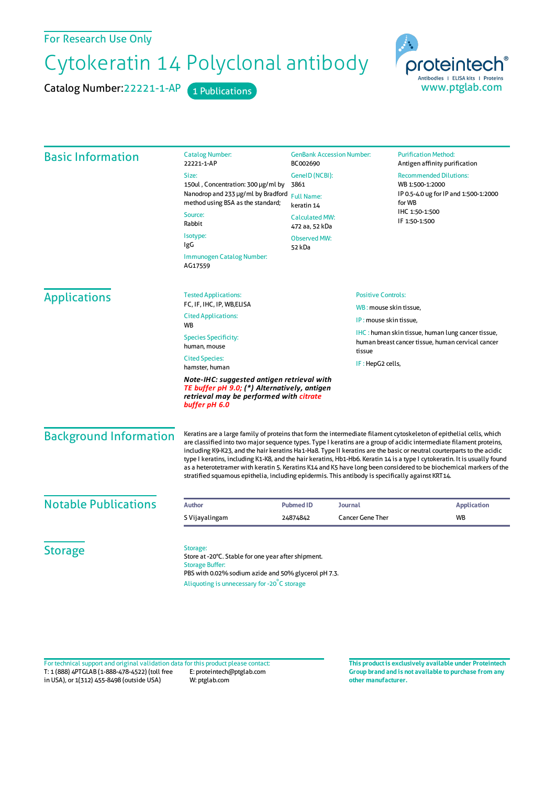For Research Use Only

## Cytokeratin 14 Polyclonal antibody

Catalog Number: 22221-1-AP 1 Publications



| <b>Catalog Number:</b><br>22221-1-AP                                                                                                                   | <b>GenBank Accession Number:</b><br>BC002690                                                                        |                                                                                                                                  | <b>Purification Method:</b><br>Antigen affinity purification                                          |                                                                                                                                                                                                                                                                                                                                                                                                                                                                                                                                                                                                                                                                                                                                                                                                        |
|--------------------------------------------------------------------------------------------------------------------------------------------------------|---------------------------------------------------------------------------------------------------------------------|----------------------------------------------------------------------------------------------------------------------------------|-------------------------------------------------------------------------------------------------------|--------------------------------------------------------------------------------------------------------------------------------------------------------------------------------------------------------------------------------------------------------------------------------------------------------------------------------------------------------------------------------------------------------------------------------------------------------------------------------------------------------------------------------------------------------------------------------------------------------------------------------------------------------------------------------------------------------------------------------------------------------------------------------------------------------|
| Size:                                                                                                                                                  |                                                                                                                     |                                                                                                                                  | <b>Recommended Dilutions:</b>                                                                         |                                                                                                                                                                                                                                                                                                                                                                                                                                                                                                                                                                                                                                                                                                                                                                                                        |
| 150ul, Concentration: 300 µg/ml by                                                                                                                     | 3861<br><b>Full Name:</b><br>keratin 14<br><b>Calculated MW:</b><br>472 aa, 52 kDa<br><b>Observed MW:</b><br>52 kDa |                                                                                                                                  | WB 1:500-1:2000<br>IP 0.5-4.0 ug for IP and 1:500-1:2000<br>for WB<br>IHC 1:50-1:500<br>IF 1:50-1:500 |                                                                                                                                                                                                                                                                                                                                                                                                                                                                                                                                                                                                                                                                                                                                                                                                        |
| method using BSA as the standard;                                                                                                                      |                                                                                                                     |                                                                                                                                  |                                                                                                       |                                                                                                                                                                                                                                                                                                                                                                                                                                                                                                                                                                                                                                                                                                                                                                                                        |
| Source:<br>Rabbit                                                                                                                                      |                                                                                                                     |                                                                                                                                  |                                                                                                       |                                                                                                                                                                                                                                                                                                                                                                                                                                                                                                                                                                                                                                                                                                                                                                                                        |
| Isotype:<br>IgG                                                                                                                                        |                                                                                                                     |                                                                                                                                  |                                                                                                       |                                                                                                                                                                                                                                                                                                                                                                                                                                                                                                                                                                                                                                                                                                                                                                                                        |
| Immunogen Catalog Number:<br>AG17559                                                                                                                   |                                                                                                                     |                                                                                                                                  |                                                                                                       |                                                                                                                                                                                                                                                                                                                                                                                                                                                                                                                                                                                                                                                                                                                                                                                                        |
| <b>Tested Applications:</b>                                                                                                                            |                                                                                                                     |                                                                                                                                  |                                                                                                       |                                                                                                                                                                                                                                                                                                                                                                                                                                                                                                                                                                                                                                                                                                                                                                                                        |
| FC, IF, IHC, IP, WB, ELISA                                                                                                                             |                                                                                                                     | WB: mouse skin tissue,                                                                                                           |                                                                                                       |                                                                                                                                                                                                                                                                                                                                                                                                                                                                                                                                                                                                                                                                                                                                                                                                        |
| <b>WB</b>                                                                                                                                              |                                                                                                                     | IP: mouse skin tissue,<br>IHC: human skin tissue, human lung cancer tissue,<br>human breast cancer tissue, human cervical cancer |                                                                                                       |                                                                                                                                                                                                                                                                                                                                                                                                                                                                                                                                                                                                                                                                                                                                                                                                        |
| <b>Species Specificity:</b><br>human, mouse                                                                                                            |                                                                                                                     |                                                                                                                                  |                                                                                                       |                                                                                                                                                                                                                                                                                                                                                                                                                                                                                                                                                                                                                                                                                                                                                                                                        |
| <b>Cited Species:</b><br>hamster, human                                                                                                                |                                                                                                                     |                                                                                                                                  |                                                                                                       |                                                                                                                                                                                                                                                                                                                                                                                                                                                                                                                                                                                                                                                                                                                                                                                                        |
| Note-IHC: suggested antigen retrieval with<br>TE buffer pH 9.0; (*) Alternatively, antigen<br>retrieval may be performed with citrate<br>buffer pH 6.0 |                                                                                                                     |                                                                                                                                  |                                                                                                       |                                                                                                                                                                                                                                                                                                                                                                                                                                                                                                                                                                                                                                                                                                                                                                                                        |
|                                                                                                                                                        |                                                                                                                     |                                                                                                                                  |                                                                                                       |                                                                                                                                                                                                                                                                                                                                                                                                                                                                                                                                                                                                                                                                                                                                                                                                        |
| <b>Author</b>                                                                                                                                          |                                                                                                                     | <b>Journal</b>                                                                                                                   | <b>Application</b>                                                                                    |                                                                                                                                                                                                                                                                                                                                                                                                                                                                                                                                                                                                                                                                                                                                                                                                        |
| S Vijayalingam                                                                                                                                         |                                                                                                                     |                                                                                                                                  | <b>WB</b>                                                                                             |                                                                                                                                                                                                                                                                                                                                                                                                                                                                                                                                                                                                                                                                                                                                                                                                        |
| Storage:<br><b>Storage Buffer:</b>                                                                                                                     |                                                                                                                     |                                                                                                                                  |                                                                                                       |                                                                                                                                                                                                                                                                                                                                                                                                                                                                                                                                                                                                                                                                                                                                                                                                        |
| <b>Background Information</b>                                                                                                                          | <b>Cited Applications:</b>                                                                                          | Nanodrop and 233 µg/ml by Bradford<br><b>Pubmed ID</b><br>24874842<br>Store at -20°C. Stable for one year after shipment.        | GenelD (NCBI):<br>tissue<br>PBS with 0.02% sodium azide and 50% glycerol pH 7.3.                      | <b>Positive Controls:</b><br>IF: HepG2 cells,<br>Keratins are a large family of proteins that form the intermediate filament cytoskeleton of epithelial cells, which<br>are classified into two major sequence types. Type I keratins are a group of acidic intermediate filament proteins,<br>including K9-K23, and the hair keratins Ha1-Ha8. Type II keratins are the basic or neutral courterparts to the acidic<br>type I keratins, including K1-K8, and the hair keratins, Hb1-Hb6. Keratin 14 is a type I cytokeratin. It is usually found<br>as a heterotetramer with keratin 5. Keratins K14 and K5 have long been considered to be biochemical markers of the<br>stratified squamous epithelia, including epidermis. This antibody is specifically against KRT14.<br><b>Cancer Gene Ther</b> |

T: 1 (888) 4PTGLAB (1-888-478-4522) (toll free in USA), or 1(312) 455-8498 (outside USA) E: proteintech@ptglab.com W: ptglab.com Fortechnical support and original validation data forthis product please contact: **This productis exclusively available under Proteintech**

**Group brand and is not available to purchase from any other manufacturer.**